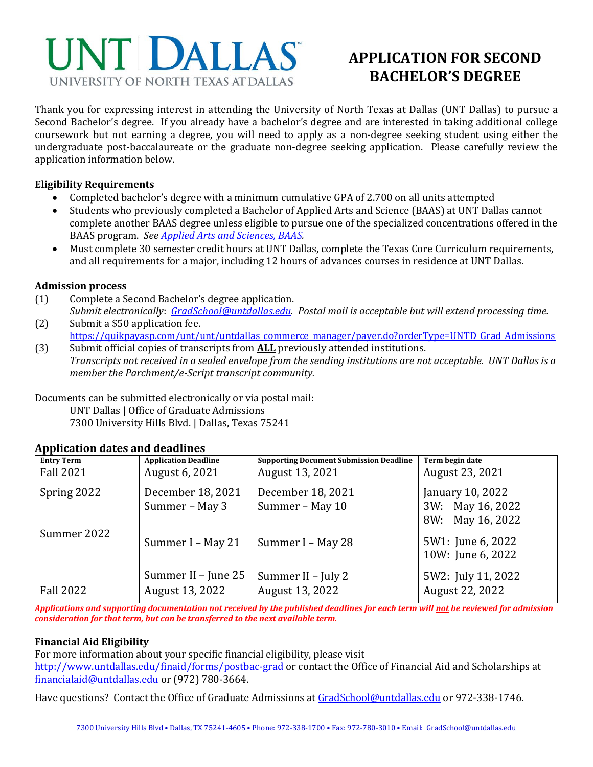

# **APPLICATION FOR SECOND BACHELOR'S DEGREE**

Thank you for expressing interest in attending the University of North Texas at Dallas (UNT Dallas) to pursue a Second Bachelor's degree. If you already have a bachelor's degree and are interested in taking additional college coursework but not earning a degree, you will need to apply as a non-degree seeking student using either the undergraduate post-baccalaureate or the graduate non-degree seeking application. Please carefully review the application information below.

#### **Eligibility Requirements**

- Completed bachelor's degree with a minimum cumulative GPA of 2.700 on all units attempted
- Students who previously completed a Bachelor of Applied Arts and Science (BAAS) at UNT Dallas cannot complete another BAAS degree unless eligible to pursue one of the specialized concentrations offered in the BAAS program. *See [Applied Arts and Sciences, BAAS.](https://www.untdallas.edu/academic-programs)*
- Must complete 30 semester credit hours at UNT Dallas, complete the Texas Core Curriculum requirements, and all requirements for a major, including 12 hours of advances courses in residence at UNT Dallas.

#### **Admission process**

- (1) Complete a Second Bachelor's degree application.
- *Submit electronically*: *[GradSchool@untdallas.edu.](mailto:GradSchool@untdallas.edu) Postal mail is acceptable but will extend processing time.* (2) Submit a \$50 application fee.
- [https://quikpayasp.com/unt/unt/untdallas\\_commerce\\_manager/payer.do?orderType=UNTD\\_Grad\\_Admissions](https://nam04.safelinks.protection.outlook.com/?url=https%3A%2F%2Fquikpayasp.com%2Funt%2Funt%2Funtdallas_commerce_manager%2Fpayer.do%3ForderType%3DUNTD_Grad_Admissions&data=04%7C01%7CAlounda.Joseph%40untdallas.edu%7C7f0879b89c834fa230e108d9ab9eb863%7C70de199207c6480fa318a1afcba03983%7C0%7C0%7C637729520444567429%7CUnknown%7CTWFpbGZsb3d8eyJWIjoiMC4wLjAwMDAiLCJQIjoiV2luMzIiLCJBTiI6Ik1haWwiLCJXVCI6Mn0%3D%7C3000&sdata=uQ6qdKpboX68JKQjj9XFRvmik1577i%2FD94S7fO1dOG8%3D&reserved=0) (3) Submit official copies of transcripts from **ALL** previously attended institutions.
	- *Transcripts not received in a sealed envelope from the sending institutions are not acceptable. UNT Dallas is a member the Parchment/e-Script transcript community.*

Documents can be submitted electronically or via postal mail:

UNT Dallas | Office of Graduate Admissions 7300 University Hills Blvd. | Dallas, Texas 75241

## **Application dates and deadlines**

| <b>Entry Term</b> | <b>Application Deadline</b>         | <b>Supporting Document Submission Deadline</b> | Term begin date                                                                |
|-------------------|-------------------------------------|------------------------------------------------|--------------------------------------------------------------------------------|
| <b>Fall 2021</b>  | August 6, 2021                      | August 13, 2021                                | August 23, 2021                                                                |
| Spring 2022       | December 18, 2021                   | December 18, 2021                              | January 10, 2022                                                               |
| Summer 2022       | Summer - May 3<br>Summer I - May 21 | Summer - May 10<br>Summer I - May 28           | 3W: May 16, 2022<br>8W: May 16, 2022<br>5W1: June 6, 2022<br>10W: June 6, 2022 |
|                   | Summer II - June 25                 | Summer II – July 2                             | 5W2: July 11, 2022                                                             |
| <b>Fall 2022</b>  | August 13, 2022                     | August 13, 2022                                | August 22, 2022                                                                |

*Applications and supporting documentation not received by the published deadlines for each term will not be reviewed for admission consideration for that term, but can be transferred to the next available term.*

## **Financial Aid Eligibility**

For more information about your specific financial eligibility, please visit

<http://www.untdallas.edu/finaid/forms/postbac-grad> or contact the Office of Financial Aid and Scholarships at [financialaid@untdallas.edu](mailto:financialaid@untdallas.edu) or (972) 780-3664.

Have questions? Contact the Office of Graduate Admissions a[t GradSchool@untdallas.edu](mailto:GradSchool@untdallas.edu) or 972-338-1746.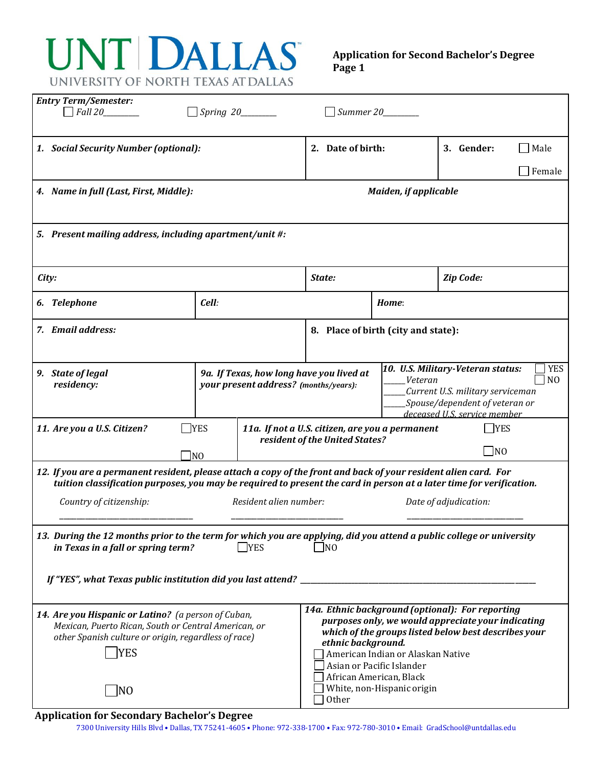# UNT DALLAS UNIVERSITY OF NORTH TEXAS AT DALLAS

#### **Application for Second Bachelor's Degree Page 1**

| <b>Entry Term/Semester:</b><br>$\Box$ Fall 20                                                                                                                                                                                            |                                                                                                              | $\Box$ Summer 20                                                                                                                                                                   |                                                                                              |                                                                                                            |        |
|------------------------------------------------------------------------------------------------------------------------------------------------------------------------------------------------------------------------------------------|--------------------------------------------------------------------------------------------------------------|------------------------------------------------------------------------------------------------------------------------------------------------------------------------------------|----------------------------------------------------------------------------------------------|------------------------------------------------------------------------------------------------------------|--------|
| 1. Social Security Number (optional):                                                                                                                                                                                                    | 2. Date of birth:                                                                                            |                                                                                                                                                                                    | 3. Gender:                                                                                   | Male                                                                                                       |        |
|                                                                                                                                                                                                                                          |                                                                                                              |                                                                                                                                                                                    |                                                                                              |                                                                                                            | Female |
| 4. Name in full (Last, First, Middle):                                                                                                                                                                                                   |                                                                                                              | <b>Maiden, if applicable</b>                                                                                                                                                       |                                                                                              |                                                                                                            |        |
| 5. Present mailing address, including apartment/unit #:                                                                                                                                                                                  |                                                                                                              |                                                                                                                                                                                    |                                                                                              |                                                                                                            |        |
| City:                                                                                                                                                                                                                                    |                                                                                                              | Zip Code:<br>State:                                                                                                                                                                |                                                                                              |                                                                                                            |        |
| 6. Telephone                                                                                                                                                                                                                             | Cell:                                                                                                        |                                                                                                                                                                                    | Home:                                                                                        |                                                                                                            |        |
| 7. Email address:                                                                                                                                                                                                                        |                                                                                                              | 8. Place of birth (city and state):                                                                                                                                                |                                                                                              |                                                                                                            |        |
| 9a. If Texas, how long have you lived at<br>9. State of legal<br>residency:<br>your present address? (months/years):                                                                                                                     |                                                                                                              | 10. U.S. Military-Veteran status:<br><b>YES</b><br>N <sub>O</sub><br>Veteran<br>Current U.S. military serviceman<br>Spouse/dependent of veteran or<br>deceased U.S. service member |                                                                                              |                                                                                                            |        |
| 11. Are you a U.S. Citizen?                                                                                                                                                                                                              | $\Box$ YES<br>11a. If not a U.S. citizen, are you a permanent<br>resident of the United States?<br>$\neg$ NO |                                                                                                                                                                                    |                                                                                              | <b>YES</b><br>$\neg$ <sub>NO</sub>                                                                         |        |
| 12. If you are a permanent resident, please attach a copy of the front and back of your resident alien card. For<br>tuition classification purposes, you may be required to present the card in person at a later time for verification. |                                                                                                              |                                                                                                                                                                                    |                                                                                              |                                                                                                            |        |
| Resident alien number:<br>Country of citizenship:<br>Date of adjudication:                                                                                                                                                               |                                                                                                              |                                                                                                                                                                                    |                                                                                              |                                                                                                            |        |
| 13. During the 12 months prior to the term for which you are applying, did you attend a public college or university<br>in Texas in a fall or spring term?<br>$\Box$ YES<br>N <sub>0</sub>                                               |                                                                                                              |                                                                                                                                                                                    |                                                                                              |                                                                                                            |        |
|                                                                                                                                                                                                                                          |                                                                                                              |                                                                                                                                                                                    |                                                                                              |                                                                                                            |        |
| 14. Are you Hispanic or Latino? (a person of Cuban,<br>Mexican, Puerto Rican, South or Central American, or<br>other Spanish culture or origin, regardless of race)<br><b>YES</b><br> NO                                                 |                                                                                                              | 14a. Ethnic background (optional): For reporting<br>ethnic background.<br>African American, Black<br>Other                                                                         | American Indian or Alaskan Native<br>Asian or Pacific Islander<br>White, non-Hispanic origin | purposes only, we would appreciate your indicating<br>which of the groups listed below best describes your |        |

#### **Application for Secondary Bachelor's Degree**

7300 University Hills Blvd • Dallas, TX 75241-4605 • Phone: 972-338-1700 • Fax: 972-780-3010 • Email: GradSchool@untdallas.edu